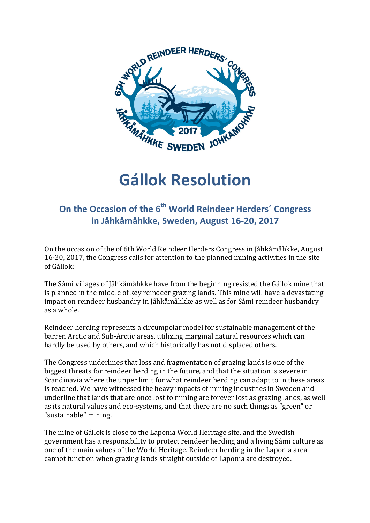

## **Gállok Resolution**

## **On the Occasion of the 6<sup>th</sup> World Reindeer Herders' Congress in Jåhkåmåhkke, Sweden, August 16-20, 2017**

On the occasion of the of 6th World Reindeer Herders Congress in Jåhkåmåhkke, August 16-20, 2017, the Congress calls for attention to the planned mining activities in the site of Gállok: 

The Sámi villages of Jåhkåmåhkke have from the beginning resisted the Gállok mine that is planned in the middle of key reindeer grazing lands. This mine will have a devastating impact on reindeer husbandry in Jåhkåmåhkke as well as for Sámi reindeer husbandry as a whole.

Reindeer herding represents a circumpolar model for sustainable management of the barren Arctic and Sub-Arctic areas, utilizing marginal natural resources which can hardly be used by others, and which historically has not displaced others.

The Congress underlines that loss and fragmentation of grazing lands is one of the biggest threats for reindeer herding in the future, and that the situation is severe in Scandinavia where the upper limit for what reindeer herding can adapt to in these areas is reached. We have witnessed the heavy impacts of mining industries in Sweden and underline that lands that are once lost to mining are forever lost as grazing lands, as well as its natural values and eco-systems, and that there are no such things as "green" or "sustainable" mining.

The mine of Gállok is close to the Laponia World Heritage site, and the Swedish government has a responsibility to protect reindeer herding and a living Sámi culture as one of the main values of the World Heritage. Reindeer herding in the Laponia area cannot function when grazing lands straight outside of Laponia are destroyed.